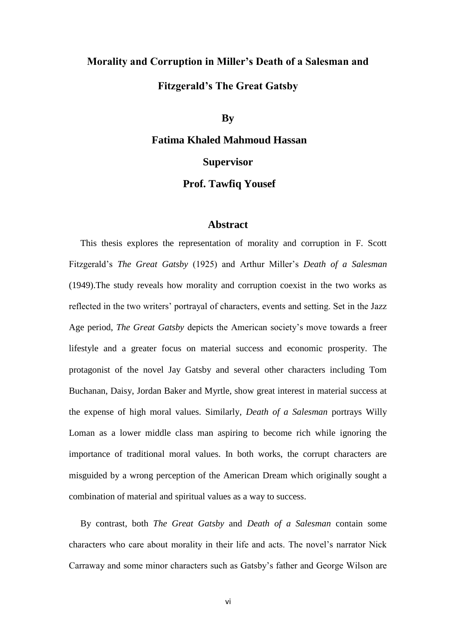# **Morality and Corruption in Miller's Death of a Salesman and Fitzgerald's The Great Gatsby**

### **By**

# **Fatima Khaled Mahmoud Hassan Supervisor**

### **Prof. Tawfiq Yousef**

### **Abstract**

 This thesis explores the representation of morality and corruption in F. Scott Fitzgerald's *The Great Gatsby* (1925) and Arthur Miller's *Death of a Salesman* (1949).The study reveals how morality and corruption coexist in the two works as reflected in the two writers' portrayal of characters, events and setting. Set in the Jazz Age period, *The Great Gatsby* depicts the American society's move towards a freer lifestyle and a greater focus on material success and economic prosperity. The protagonist of the novel Jay Gatsby and several other characters including Tom Buchanan, Daisy, Jordan Baker and Myrtle, show great interest in material success at the expense of high moral values. Similarly*, Death of a Salesman* portrays Willy Loman as a lower middle class man aspiring to become rich while ignoring the importance of traditional moral values. In both works, the corrupt characters are misguided by a wrong perception of the American Dream which originally sought a combination of material and spiritual values as a way to success.

 By contrast, both *The Great Gatsby* and *Death of a Salesman* contain some characters who care about morality in their life and acts. The novel's narrator Nick Carraway and some minor characters such as Gatsby's father and George Wilson are